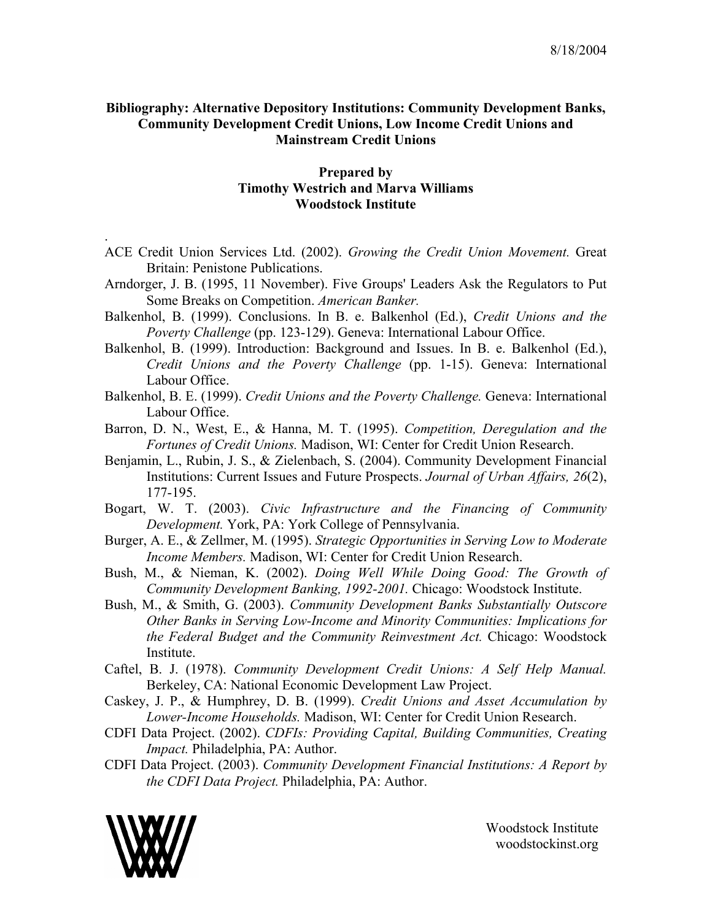## **Bibliography: Alternative Depository Institutions: Community Development Banks, Community Development Credit Unions, Low Income Credit Unions and Mainstream Credit Unions**

## **Prepared by Timothy Westrich and Marva Williams Woodstock Institute**

- ACE Credit Union Services Ltd. (2002). *Growing the Credit Union Movement.* Great Britain: Penistone Publications.
- Arndorger, J. B. (1995, 11 November). Five Groups' Leaders Ask the Regulators to Put Some Breaks on Competition. *American Banker.*
- Balkenhol, B. (1999). Conclusions. In B. e. Balkenhol (Ed.), *Credit Unions and the Poverty Challenge* (pp. 123-129). Geneva: International Labour Office.
- Balkenhol, B. (1999). Introduction: Background and Issues. In B. e. Balkenhol (Ed.), *Credit Unions and the Poverty Challenge* (pp. 1-15). Geneva: International Labour Office.
- Balkenhol, B. E. (1999). *Credit Unions and the Poverty Challenge.* Geneva: International Labour Office.
- Barron, D. N., West, E., & Hanna, M. T. (1995). *Competition, Deregulation and the Fortunes of Credit Unions.* Madison, WI: Center for Credit Union Research.
- Benjamin, L., Rubin, J. S., & Zielenbach, S. (2004). Community Development Financial Institutions: Current Issues and Future Prospects. *Journal of Urban Affairs, 26*(2), 177-195.
- Bogart, W. T. (2003). *Civic Infrastructure and the Financing of Community Development.* York, PA: York College of Pennsylvania.
- Burger, A. E., & Zellmer, M. (1995). *Strategic Opportunities in Serving Low to Moderate Income Members.* Madison, WI: Center for Credit Union Research.
- Bush, M., & Nieman, K. (2002). *Doing Well While Doing Good: The Growth of Community Development Banking, 1992-2001.* Chicago: Woodstock Institute.
- Bush, M., & Smith, G. (2003). *Community Development Banks Substantially Outscore Other Banks in Serving Low-Income and Minority Communities: Implications for the Federal Budget and the Community Reinvestment Act.* Chicago: Woodstock Institute.
- Caftel, B. J. (1978). *Community Development Credit Unions: A Self Help Manual.* Berkeley, CA: National Economic Development Law Project.
- Caskey, J. P., & Humphrey, D. B. (1999). *Credit Unions and Asset Accumulation by Lower-Income Households.* Madison, WI: Center for Credit Union Research.
- CDFI Data Project. (2002). *CDFIs: Providing Capital, Building Communities, Creating Impact.* Philadelphia, PA: Author.
- CDFI Data Project. (2003). *Community Development Financial Institutions: A Report by the CDFI Data Project.* Philadelphia, PA: Author.



.

Woodstock Institute woodstockinst.org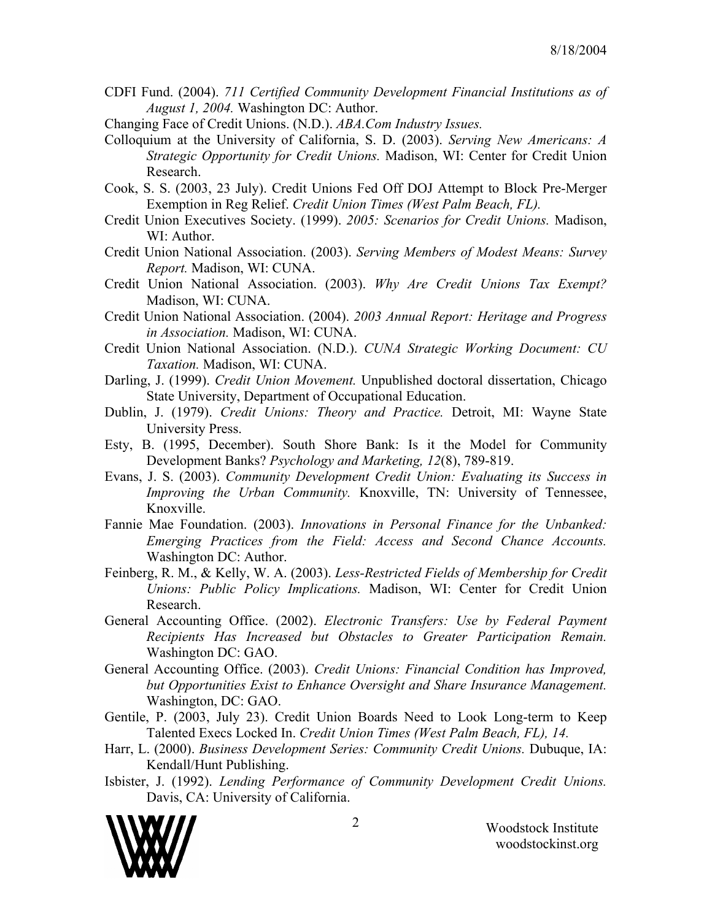- CDFI Fund. (2004). *711 Certified Community Development Financial Institutions as of August 1, 2004.* Washington DC: Author.
- Changing Face of Credit Unions. (N.D.). *ABA.Com Industry Issues.*
- Colloquium at the University of California, S. D. (2003). *Serving New Americans: A Strategic Opportunity for Credit Unions.* Madison, WI: Center for Credit Union Research.
- Cook, S. S. (2003, 23 July). Credit Unions Fed Off DOJ Attempt to Block Pre-Merger Exemption in Reg Relief. *Credit Union Times (West Palm Beach, FL).*
- Credit Union Executives Society. (1999). *2005: Scenarios for Credit Unions.* Madison, WI: Author.
- Credit Union National Association. (2003). *Serving Members of Modest Means: Survey Report.* Madison, WI: CUNA.
- Credit Union National Association. (2003). *Why Are Credit Unions Tax Exempt?* Madison, WI: CUNA.
- Credit Union National Association. (2004). *2003 Annual Report: Heritage and Progress in Association.* Madison, WI: CUNA.
- Credit Union National Association. (N.D.). *CUNA Strategic Working Document: CU Taxation.* Madison, WI: CUNA.
- Darling, J. (1999). *Credit Union Movement.* Unpublished doctoral dissertation, Chicago State University, Department of Occupational Education.
- Dublin, J. (1979). *Credit Unions: Theory and Practice.* Detroit, MI: Wayne State University Press.
- Esty, B. (1995, December). South Shore Bank: Is it the Model for Community Development Banks? *Psychology and Marketing, 12*(8), 789-819.
- Evans, J. S. (2003). *Community Development Credit Union: Evaluating its Success in Improving the Urban Community.* Knoxville, TN: University of Tennessee, Knoxville.
- Fannie Mae Foundation. (2003). *Innovations in Personal Finance for the Unbanked: Emerging Practices from the Field: Access and Second Chance Accounts.* Washington DC: Author.
- Feinberg, R. M., & Kelly, W. A. (2003). *Less-Restricted Fields of Membership for Credit Unions: Public Policy Implications.* Madison, WI: Center for Credit Union Research.
- General Accounting Office. (2002). *Electronic Transfers: Use by Federal Payment Recipients Has Increased but Obstacles to Greater Participation Remain.* Washington DC: GAO.
- General Accounting Office. (2003). *Credit Unions: Financial Condition has Improved, but Opportunities Exist to Enhance Oversight and Share Insurance Management.* Washington, DC: GAO.
- Gentile, P. (2003, July 23). Credit Union Boards Need to Look Long-term to Keep Talented Execs Locked In. *Credit Union Times (West Palm Beach, FL), 14.*
- Harr, L. (2000). *Business Development Series: Community Credit Unions.* Dubuque, IA: Kendall/Hunt Publishing.
- Isbister, J. (1992). *Lending Performance of Community Development Credit Unions.* Davis, CA: University of California.

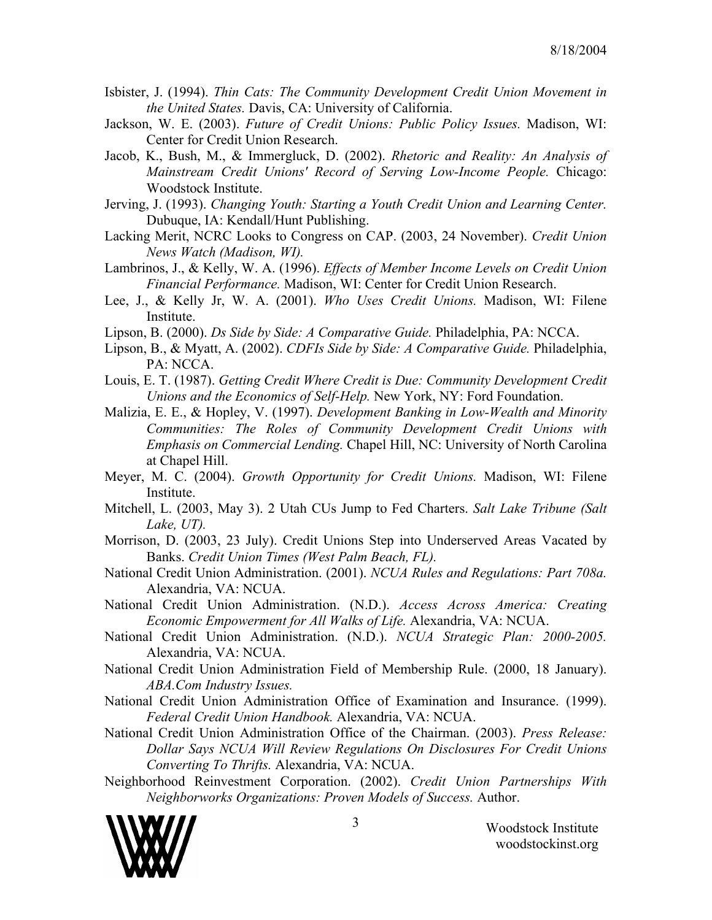- Isbister, J. (1994). *Thin Cats: The Community Development Credit Union Movement in the United States.* Davis, CA: University of California.
- Jackson, W. E. (2003). *Future of Credit Unions: Public Policy Issues.* Madison, WI: Center for Credit Union Research.
- Jacob, K., Bush, M., & Immergluck, D. (2002). *Rhetoric and Reality: An Analysis of Mainstream Credit Unions' Record of Serving Low-Income People.* Chicago: Woodstock Institute.
- Jerving, J. (1993). *Changing Youth: Starting a Youth Credit Union and Learning Center.* Dubuque, IA: Kendall/Hunt Publishing.
- Lacking Merit, NCRC Looks to Congress on CAP. (2003, 24 November). *Credit Union News Watch (Madison, WI).*
- Lambrinos, J., & Kelly, W. A. (1996). *Effects of Member Income Levels on Credit Union Financial Performance.* Madison, WI: Center for Credit Union Research.
- Lee, J., & Kelly Jr, W. A. (2001). *Who Uses Credit Unions.* Madison, WI: Filene Institute.
- Lipson, B. (2000). *Ds Side by Side: A Comparative Guide.* Philadelphia, PA: NCCA.
- Lipson, B., & Myatt, A. (2002). *CDFIs Side by Side: A Comparative Guide.* Philadelphia, PA: NCCA.
- Louis, E. T. (1987). *Getting Credit Where Credit is Due: Community Development Credit Unions and the Economics of Self-Help.* New York, NY: Ford Foundation.
- Malizia, E. E., & Hopley, V. (1997). *Development Banking in Low-Wealth and Minority Communities: The Roles of Community Development Credit Unions with Emphasis on Commercial Lending.* Chapel Hill, NC: University of North Carolina at Chapel Hill.
- Meyer, M. C. (2004). *Growth Opportunity for Credit Unions.* Madison, WI: Filene Institute.
- Mitchell, L. (2003, May 3). 2 Utah CUs Jump to Fed Charters. *Salt Lake Tribune (Salt Lake, UT).*
- Morrison, D. (2003, 23 July). Credit Unions Step into Underserved Areas Vacated by Banks. *Credit Union Times (West Palm Beach, FL).*
- National Credit Union Administration. (2001). *NCUA Rules and Regulations: Part 708a.* Alexandria, VA: NCUA.
- National Credit Union Administration. (N.D.). *Access Across America: Creating Economic Empowerment for All Walks of Life.* Alexandria, VA: NCUA.
- National Credit Union Administration. (N.D.). *NCUA Strategic Plan: 2000-2005.* Alexandria, VA: NCUA.
- National Credit Union Administration Field of Membership Rule. (2000, 18 January). *ABA.Com Industry Issues.*
- National Credit Union Administration Office of Examination and Insurance. (1999). *Federal Credit Union Handbook.* Alexandria, VA: NCUA.
- National Credit Union Administration Office of the Chairman. (2003). *Press Release: Dollar Says NCUA Will Review Regulations On Disclosures For Credit Unions Converting To Thrifts.* Alexandria, VA: NCUA.
- Neighborhood Reinvestment Corporation. (2002). *Credit Union Partnerships With Neighborworks Organizations: Proven Models of Success.* Author.

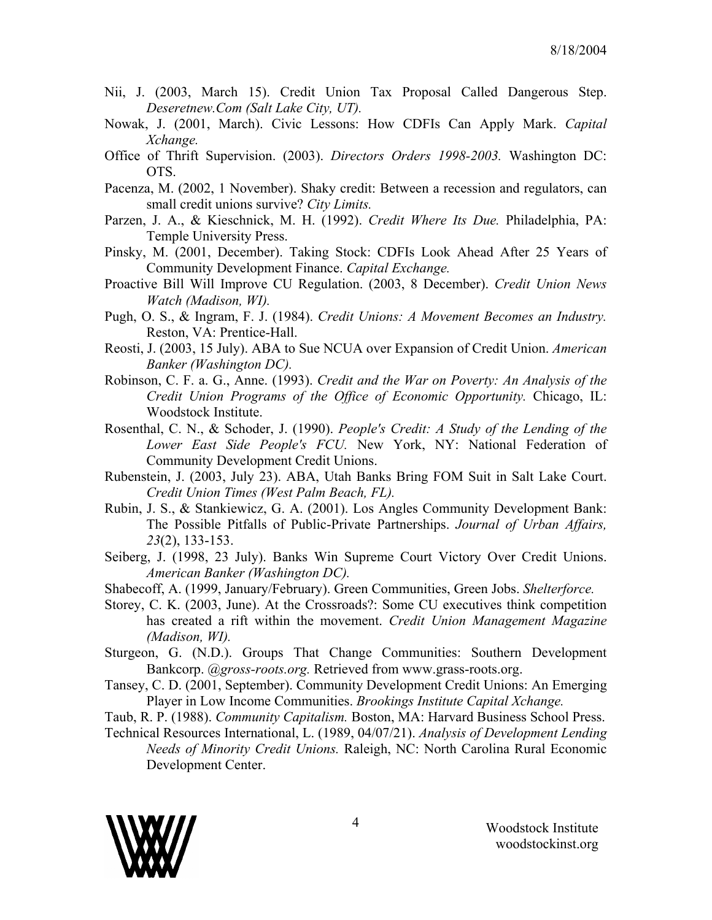- Nii, J. (2003, March 15). Credit Union Tax Proposal Called Dangerous Step. *Deseretnew.Com (Salt Lake City, UT).*
- Nowak, J. (2001, March). Civic Lessons: How CDFIs Can Apply Mark. *Capital Xchange.*
- Office of Thrift Supervision. (2003). *Directors Orders 1998-2003.* Washington DC: OTS.
- Pacenza, M. (2002, 1 November). Shaky credit: Between a recession and regulators, can small credit unions survive? *City Limits.*
- Parzen, J. A., & Kieschnick, M. H. (1992). *Credit Where Its Due.* Philadelphia, PA: Temple University Press.
- Pinsky, M. (2001, December). Taking Stock: CDFIs Look Ahead After 25 Years of Community Development Finance. *Capital Exchange.*
- Proactive Bill Will Improve CU Regulation. (2003, 8 December). *Credit Union News Watch (Madison, WI).*
- Pugh, O. S., & Ingram, F. J. (1984). *Credit Unions: A Movement Becomes an Industry.* Reston, VA: Prentice-Hall.
- Reosti, J. (2003, 15 July). ABA to Sue NCUA over Expansion of Credit Union. *American Banker (Washington DC).*
- Robinson, C. F. a. G., Anne. (1993). *Credit and the War on Poverty: An Analysis of the Credit Union Programs of the Office of Economic Opportunity.* Chicago, IL: Woodstock Institute.
- Rosenthal, C. N., & Schoder, J. (1990). *People's Credit: A Study of the Lending of the Lower East Side People's FCU.* New York, NY: National Federation of Community Development Credit Unions.
- Rubenstein, J. (2003, July 23). ABA, Utah Banks Bring FOM Suit in Salt Lake Court. *Credit Union Times (West Palm Beach, FL).*
- Rubin, J. S., & Stankiewicz, G. A. (2001). Los Angles Community Development Bank: The Possible Pitfalls of Public-Private Partnerships. *Journal of Urban Affairs, 23*(2), 133-153.
- Seiberg, J. (1998, 23 July). Banks Win Supreme Court Victory Over Credit Unions. *American Banker (Washington DC).*
- Shabecoff, A. (1999, January/February). Green Communities, Green Jobs. *Shelterforce.*
- Storey, C. K. (2003, June). At the Crossroads?: Some CU executives think competition has created a rift within the movement. *Credit Union Management Magazine (Madison, WI).*
- Sturgeon, G. (N.D.). Groups That Change Communities: Southern Development Bankcorp. *@gross-roots.org.* Retrieved from www.grass-roots.org.
- Tansey, C. D. (2001, September). Community Development Credit Unions: An Emerging Player in Low Income Communities. *Brookings Institute Capital Xchange.*
- Taub, R. P. (1988). *Community Capitalism.* Boston, MA: Harvard Business School Press.
- Technical Resources International, L. (1989, 04/07/21). *Analysis of Development Lending Needs of Minority Credit Unions.* Raleigh, NC: North Carolina Rural Economic Development Center.